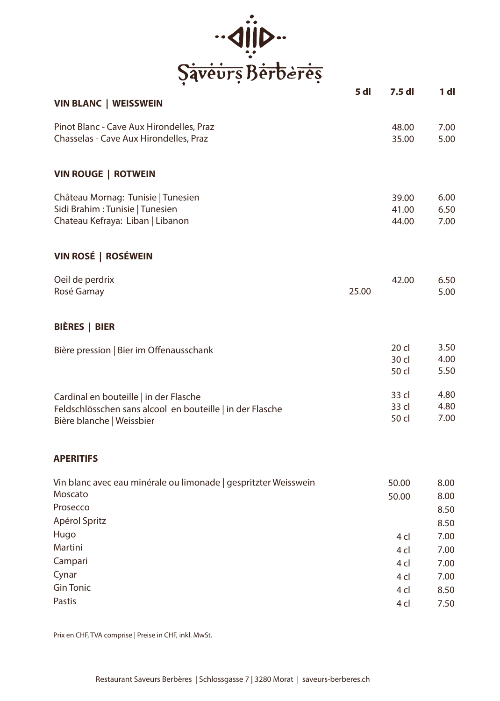

|                                                                 | 5 dl  | 7.5 dl          | 1 dl |
|-----------------------------------------------------------------|-------|-----------------|------|
| <b>VIN BLANC   WEISSWEIN</b>                                    |       |                 |      |
| Pinot Blanc - Cave Aux Hirondelles, Praz                        |       | 48.00           | 7.00 |
| Chasselas - Cave Aux Hirondelles, Praz                          |       | 35.00           | 5.00 |
| <b>VIN ROUGE   ROTWEIN</b>                                      |       |                 |      |
| Château Mornag: Tunisie   Tunesien                              |       | 39.00           | 6.00 |
| Sidi Brahim: Tunisie   Tunesien                                 |       | 41.00           | 6.50 |
| Chateau Kefraya: Liban   Libanon                                |       | 44.00           | 7.00 |
| VIN ROSÉ   ROSÉWEIN                                             |       |                 |      |
| Oeil de perdrix                                                 |       | 42.00           | 6.50 |
| Rosé Gamay                                                      | 25.00 |                 | 5.00 |
| BIÈRES   BIER                                                   |       |                 |      |
| Bière pression   Bier im Offenausschank                         |       | 20 cl           | 3.50 |
|                                                                 |       | 30 cl           | 4.00 |
|                                                                 |       | 50 cl           | 5.50 |
| Cardinal en bouteille   in der Flasche                          |       | 33 cl           | 4.80 |
| Feldschlösschen sans alcool en bouteille   in der Flasche       |       | 33 cl           | 4.80 |
| Bière blanche   Weissbier                                       |       | 50 cl           | 7.00 |
| <b>APERITIFS</b>                                                |       |                 |      |
| Vin blanc avec eau minérale ou limonade   gespritzter Weisswein |       | 50.00           | 8.00 |
| Moscato                                                         |       | 50.00           | 8.00 |
| Prosecco                                                        |       |                 | 8.50 |
| Apérol Spritz                                                   |       |                 | 8.50 |
| Hugo                                                            |       | 4 cl            | 7.00 |
| Martini                                                         |       | 4 <sub>cl</sub> | 7.00 |
| Campari                                                         |       | 4 cl            | 7.00 |
| Cynar                                                           |       | 4 cl            | 7.00 |
| <b>Gin Tonic</b>                                                |       | 4 cl            | 8.50 |
| Pastis                                                          |       | 4 cl            | 7.50 |

Prix en CHF, TVA comprise | Preise in CHF, inkl. MwSt.